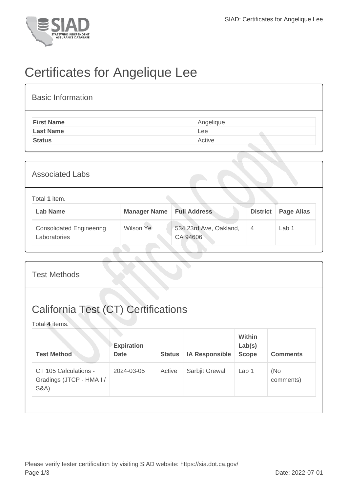

## Certificates for Angelique Lee

| <b>Basic Information</b> |           |
|--------------------------|-----------|
| <b>First Name</b>        | Angelique |
| <b>Last Name</b>         | Lee       |
| <b>Status</b>            | Active    |
|                          |           |

| <b>Associated Labs</b>                          |                     |                                    |                 |                   |
|-------------------------------------------------|---------------------|------------------------------------|-----------------|-------------------|
| Total 1 item.<br><b>Lab Name</b>                | <b>Manager Name</b> | <b>Full Address</b>                | <b>District</b> | <b>Page Alias</b> |
| <b>Consolidated Engineering</b><br>Laboratories | Wilson Ye           | 534 23rd Ave, Oakland,<br>CA 94606 | $\overline{4}$  | Lab 1             |

| <b>Test Methods</b>                                                   |                                  |               |                       |                                         |                  |  |  |
|-----------------------------------------------------------------------|----------------------------------|---------------|-----------------------|-----------------------------------------|------------------|--|--|
| <b>California Test (CT) Certifications</b><br>Total 4 items.          |                                  |               |                       |                                         |                  |  |  |
| <b>Test Method</b>                                                    | <b>Expiration</b><br><b>Date</b> | <b>Status</b> | <b>IA Responsible</b> | <b>Within</b><br>Lab(s)<br><b>Scope</b> | <b>Comments</b>  |  |  |
| CT 105 Calculations -<br>Gradings (JTCP - HMA I /<br><b>S&amp;A</b> ) | 2024-03-05                       | Active        | Sarbjit Grewal        | Lab 1                                   | (No<br>comments) |  |  |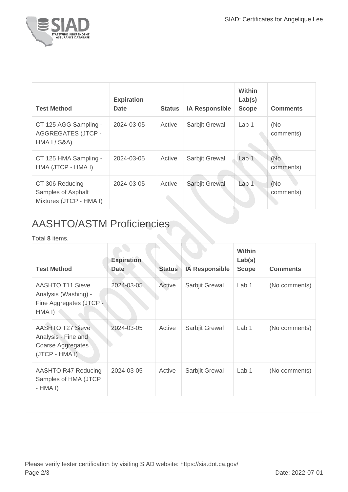

| <b>Test Method</b>                                                 | <b>Expiration</b><br><b>Date</b> | <b>Status</b> | <b>IA Responsible</b> | Within<br>Lab(s)<br><b>Scope</b> | <b>Comments</b>   |
|--------------------------------------------------------------------|----------------------------------|---------------|-----------------------|----------------------------------|-------------------|
| CT 125 AGG Sampling -<br><b>AGGREGATES (JTCP -</b><br>HMA I / S&A) | 2024-03-05                       | Active        | Sarbjit Grewal        | Lab 1                            | (No<br>comments)  |
| CT 125 HMA Sampling -<br>HMA (JTCP - HMA I)                        | 2024-03-05                       | Active        | Sarbjit Grewal        | Lab <sub>1</sub>                 | (No<br>comments)  |
| CT 306 Reducing<br>Samples of Asphalt<br>Mixtures (JTCP - HMA I)   | 2024-03-05                       | Active        | Sarbjit Grewal        | Lab <sub>1</sub>                 | (No)<br>comments) |

## AASHTO/ASTM Proficiencies

Total **8** items.

| <b>Test Method</b>                                                                               | <b>Expiration</b><br><b>Date</b> | <b>Status</b> | <b>IA Responsible</b> | <b>Within</b><br>Lab(s)<br><b>Scope</b> | <b>Comments</b> |
|--------------------------------------------------------------------------------------------------|----------------------------------|---------------|-----------------------|-----------------------------------------|-----------------|
| <b>AASHTO T11 Sieve</b><br>Analysis (Washing) -<br>Fine Aggregates (JTCP -<br>HMA <sub>I</sub> ) | 2024-03-05                       | Active        | Sarbjit Grewal        | Lab 1                                   | (No comments)   |
| <b>AASHTO T27 Sieve</b><br>Analysis - Fine and<br>Coarse Aggregates<br>(JTCP - HMA I)            | 2024-03-05                       | Active        | Sarbjit Grewal        | Lab 1                                   | (No comments)   |
| AASHTO R47 Reducing<br>Samples of HMA (JTCP<br>$-HMA I)$                                         | 2024-03-05                       | Active        | Sarbjit Grewal        | Lab 1                                   | (No comments)   |